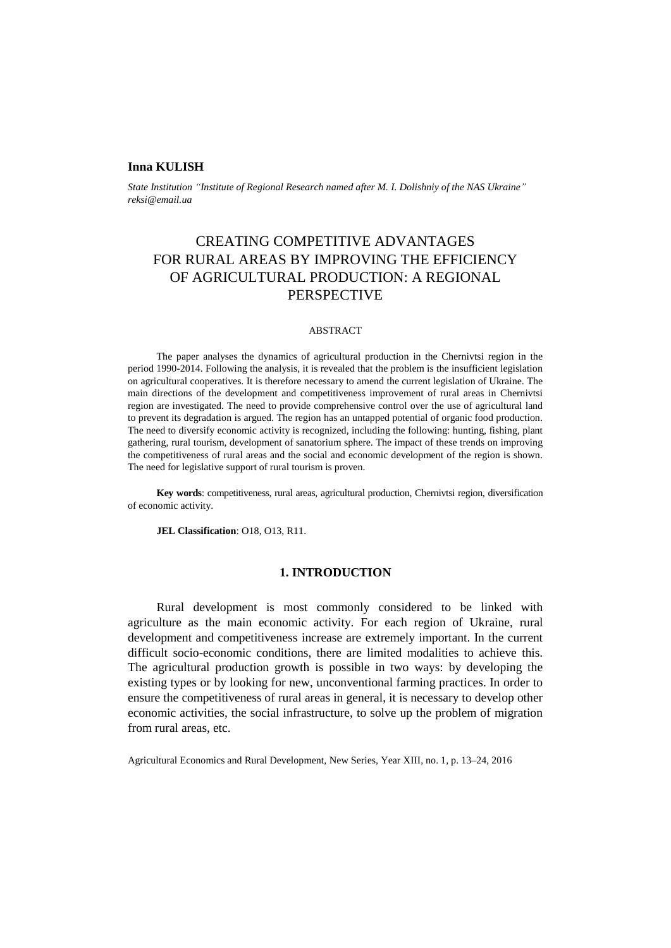#### **Inna KULISH**

*State Institution "Institute of Regional Research named after M. I. Dolishniy of the NAS Ukraine" reksi@email.ua*

# CREATING COMPETITIVE ADVANTAGES FOR RURAL AREAS BY IMPROVING THE EFFICIENCY OF AGRICULTURAL PRODUCTION: A REGIONAL PERSPECTIVE

#### ABSTRACT

The paper analyses the dynamics of agricultural production in the Chernivtsi region in the period 1990-2014. Following the analysis, it is revealed that the problem is the insufficient legislation on agricultural cooperatives. It is therefore necessary to amend the current legislation of Ukraine. The main directions of the development and competitiveness improvement of rural areas in Chernivtsi region are investigated. The need to provide comprehensive control over the use of agricultural land to prevent its degradation is argued. The region has an untapped potential of organic food production. The need to diversify economic activity is recognized, including the following: hunting, fishing, plant gathering, rural tourism, development of sanatorium sphere. The impact of these trends on improving the competitiveness of rural areas and the social and economic development of the region is shown. The need for legislative support of rural tourism is proven.

**Key words**: competitiveness, rural areas, agricultural production, Chernivtsi region, diversification of economic activity.

**JEL Classification**: O18, O13, R11.

# **1. INTRODUCTION**

Rural development is most commonly considered to be linked with agriculture as the main economic activity. For each region of Ukraine, rural development and competitiveness increase are extremely important. In the current difficult socio-economic conditions, there are limited modalities to achieve this. The agricultural production growth is possible in two ways: by developing the existing types or by looking for new, unconventional farming practices. In order to ensure the competitiveness of rural areas in general, it is necessary to develop other economic activities, the social infrastructure, to solve up the problem of migration from rural areas, etc.

Agricultural Economics and Rural Development, New Series, Year XIII, no. 1, p. 13–24, 2016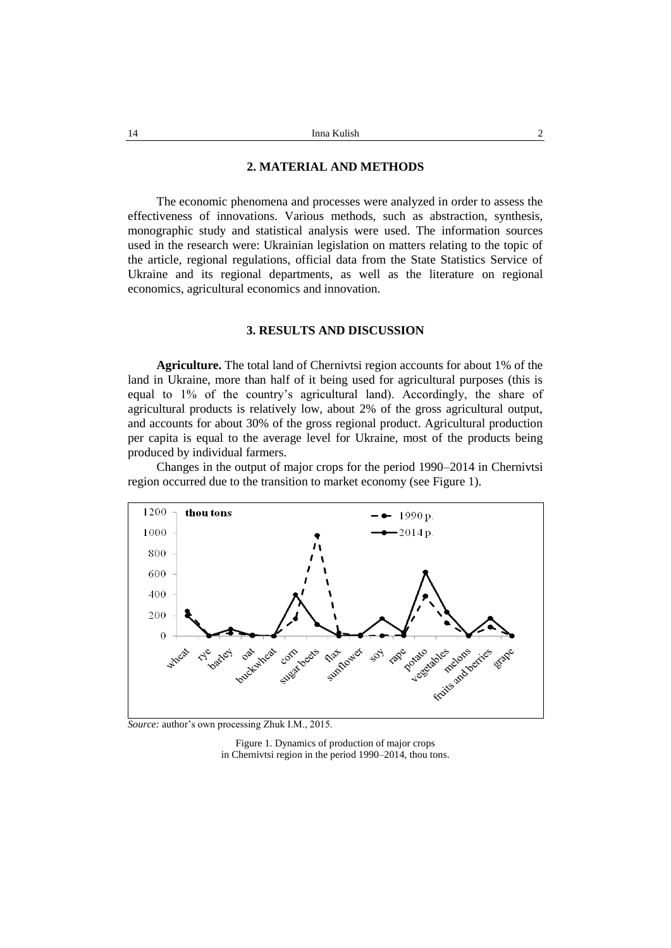## **2. MATERIAL AND METHODS**

The economic phenomena and processes were analyzed in order to assess the effectiveness of innovations. Various methods, such as abstraction, synthesis, monographic study and statistical analysis were used. The information sources used in the research were: Ukrainian legislation on matters relating to the topic of the article, regional regulations, official data from the State Statistics Service of Ukraine and its regional departments, as well as the literature on regional economics, agricultural economics and innovation.

## **3. RESULTS AND DISCUSSION**

**Agriculture.** The total land of Chernivtsi region accounts for about 1% of the land in Ukraine, more than half of it being used for agricultural purposes (this is equal to 1% of the country's agricultural land). Accordingly, the share of agricultural products is relatively low, about 2% of the gross agricultural output, and accounts for about 30% of the gross regional product. Agricultural production per capita is equal to the average level for Ukraine, most of the products being produced by individual farmers.

Changes in the output of major crops for the period 1990–2014 in Chernivtsi region occurred due to the transition to market economy (see Figure 1).



*Source:* author's own processing Zhuk I.M., 2015.

Figure 1. Dynamics of production of major crops in Chernivtsi region in the period 1990–2014, thou tons.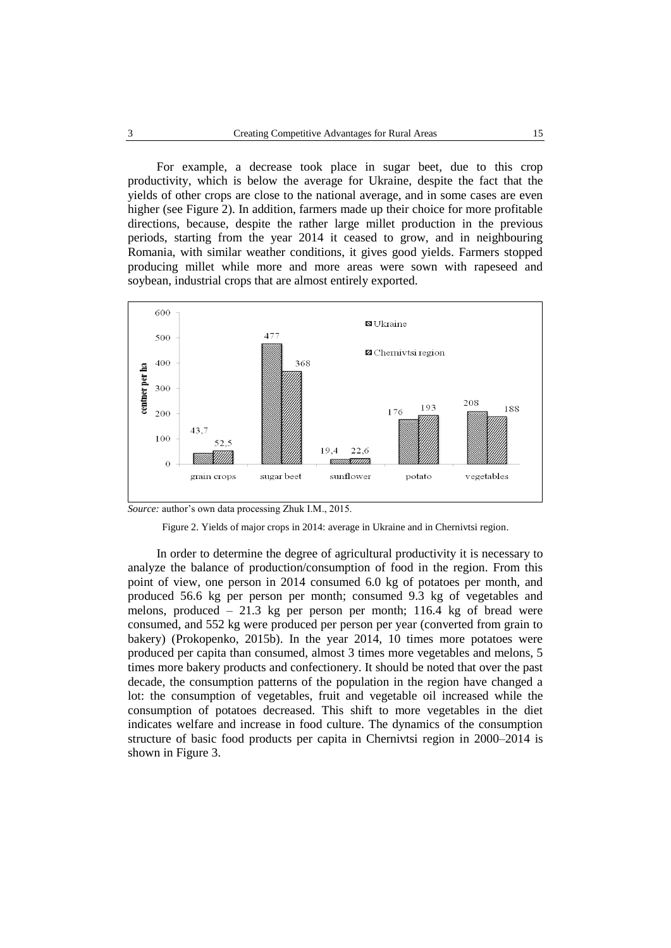For example, a decrease took place in sugar beet, due to this crop productivity, which is below the average for Ukraine, despite the fact that the yields of other crops are close to the national average, and in some cases are even higher (see Figure 2). In addition, farmers made up their choice for more profitable directions, because, despite the rather large millet production in the previous periods, starting from the year 2014 it ceased to grow, and in neighbouring Romania, with similar weather conditions, it gives good yields. Farmers stopped producing millet while more and more areas were sown with rapeseed and soybean, industrial crops that are almost entirely exported.







In order to determine the degree of agricultural productivity it is necessary to analyze the balance of production/consumption of food in the region. From this point of view, one person in 2014 consumed 6.0 kg of potatoes per month, and produced 56.6 kg per person per month; consumed 9.3 kg of vegetables and melons, produced – 21.3 kg per person per month; 116.4 kg of bread were consumed, and 552 kg were produced per person per year (converted from grain to bakery) (Prokopenko, 2015b). In the year 2014, 10 times more potatoes were produced per capita than consumed, almost 3 times more vegetables and melons, 5 times more bakery products and confectionery. It should be noted that over the past decade, the consumption patterns of the population in the region have changed a lot: the consumption of vegetables, fruit and vegetable oil increased while the consumption of potatoes decreased. This shift to more vegetables in the diet indicates welfare and increase in food culture. The dynamics of the consumption structure of basic food products per capita in Chernivtsi region in 2000–2014 is shown in Figure 3.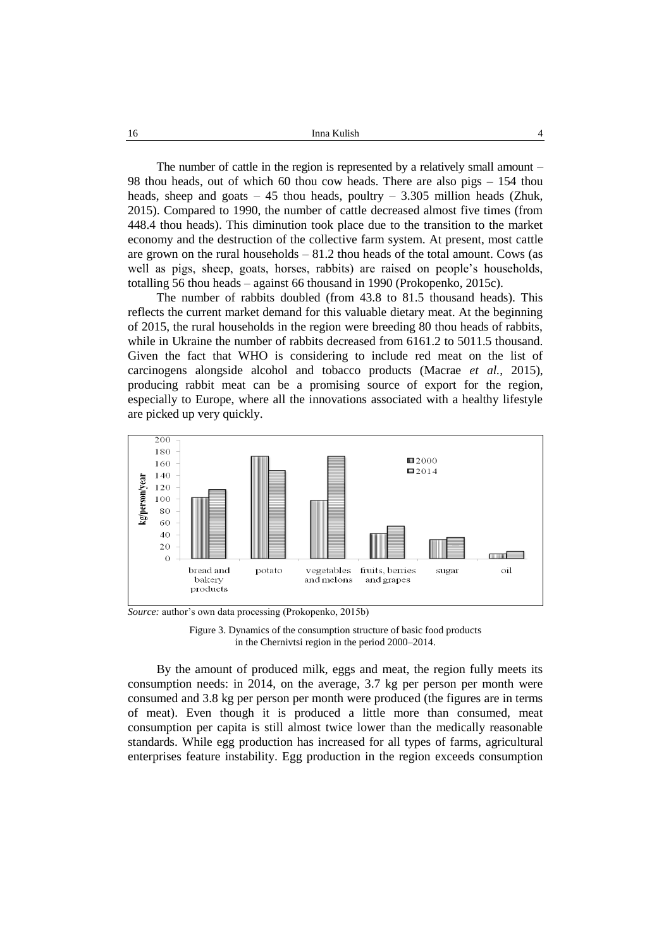| 16 | Inna Kulish |  |
|----|-------------|--|
|    |             |  |

The number of cattle in the region is represented by a relatively small amount – 98 thou heads, out of which 60 thou cow heads. There are also pigs – 154 thou heads, sheep and goats  $-45$  thou heads, poultry  $-3.305$  million heads (Zhuk, 2015). Compared to 1990, the number of cattle decreased almost five times (from 448.4 thou heads). This diminution took place due to the transition to the market economy and the destruction of the collective farm system. At present, most cattle are grown on the rural households  $-81.2$  thou heads of the total amount. Cows (as well as pigs, sheep, goats, horses, rabbits) are raised on people's households, totalling 56 thou heads – against 66 thousand in 1990 (Prokopenko, 2015c).

The number of rabbits doubled (from 43.8 to 81.5 thousand heads). This reflects the current market demand for this valuable dietary meat. At the beginning of 2015, the rural households in the region were breeding 80 thou heads of rabbits, while in Ukraine the number of rabbits decreased from 6161.2 to 5011.5 thousand. Given the fact that WHO is considering to include red meat on the list of carcinogens alongside alcohol and tobacco products (Macrae *et al.*, 2015), producing rabbit meat can be a promising source of export for the region, especially to Europe, where all the innovations associated with a healthy lifestyle are picked up very quickly.



*Source:* author's own data processing (Prokopenko, 2015b)

Figure 3. Dynamics of the consumption structure of basic food products in the Chernivtsi region in the period 2000–2014.

By the amount of produced milk, eggs and meat, the region fully meets its consumption needs: in 2014, on the average, 3.7 kg per person per month were consumed and 3.8 kg per person per month were produced (the figures are in terms of meat). Even though it is produced a little more than consumed, meat consumption per capita is still almost twice lower than the medically reasonable standards. While egg production has increased for all types of farms, agricultural enterprises feature instability. Egg production in the region exceeds consumption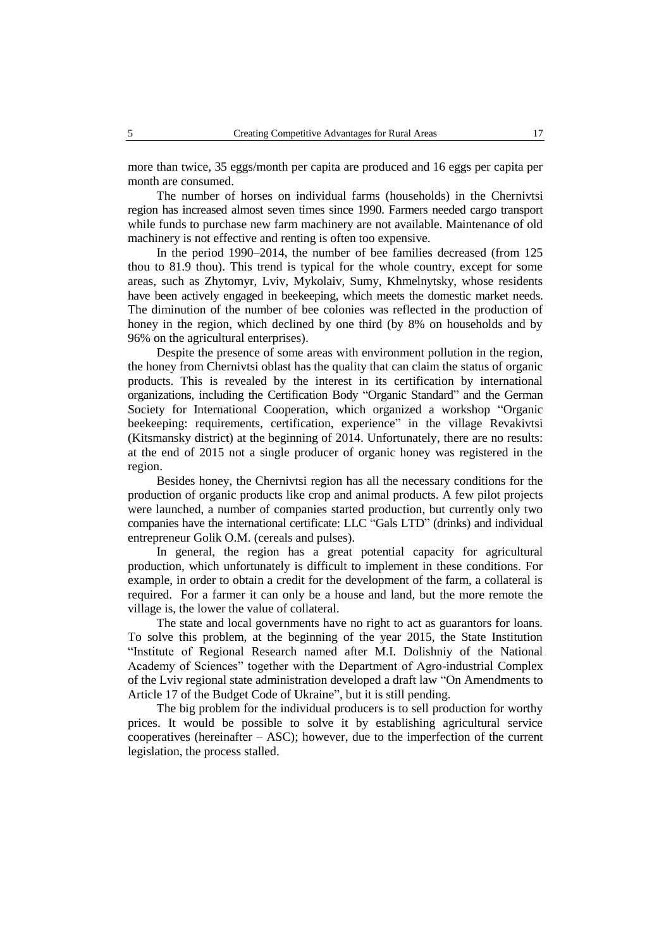more than twice, 35 eggs/month per capita are produced and 16 eggs per capita per month are consumed.

The number of horses on individual farms (households) in the Chernivtsi region has increased almost seven times since 1990. Farmers needed cargo transport while funds to purchase new farm machinery are not available. Maintenance of old machinery is not effective and renting is often too expensive.

In the period 1990–2014, the number of bee families decreased (from 125 thou to 81.9 thou). This trend is typical for the whole country, except for some areas, such as Zhytomyr, Lviv, Mykolaiv, Sumy, Khmelnytsky, whose residents have been actively engaged in beekeeping, which meets the domestic market needs. The diminution of the number of bee colonies was reflected in the production of honey in the region, which declined by one third (by 8% on households and by 96% on the agricultural enterprises).

Despite the presence of some areas with environment pollution in the region, the honey from Chernivtsi oblast has the quality that can claim the status of organic products. This is revealed by the interest in its certification by international organizations, including the Certification Body "Organic Standard" and the German Society for International Cooperation, which organized a workshop "Organic beekeeping: requirements, certification, experience" in the village Revakivtsi (Kitsmansky district) at the beginning of 2014. Unfortunately, there are no results: at the end of 2015 not a single producer of organic honey was registered in the region.

Besides honey, the Chernivtsi region has all the necessary conditions for the production of organic products like crop and animal products. A few pilot projects were launched, a number of companies started production, but currently only two companies have the international certificate: LLC "Gals LTD" (drinks) and individual entrepreneur Golik O.M. (cereals and pulses).

In general, the region has a great potential capacity for agricultural production, which unfortunately is difficult to implement in these conditions. For example, in order to obtain a credit for the development of the farm, a collateral is required. For a farmer it can only be a house and land, but the more remote the village is, the lower the value of collateral.

The state and local governments have no right to act as guarantors for loans. To solve this problem, at the beginning of the year 2015, the State Institution "Institute of Regional Research named after M.I. Dolishniy of the National Academy of Sciences" together with the Department of Agro-industrial Complex of the Lviv regional state administration developed a draft law "On Amendments to Article 17 of the Budget Code of Ukraine", but it is still pending.

The big problem for the individual producers is to sell production for worthy prices. It would be possible to solve it by establishing agricultural service cooperatives (hereinafter  $-$  ASC); however, due to the imperfection of the current legislation, the process stalled.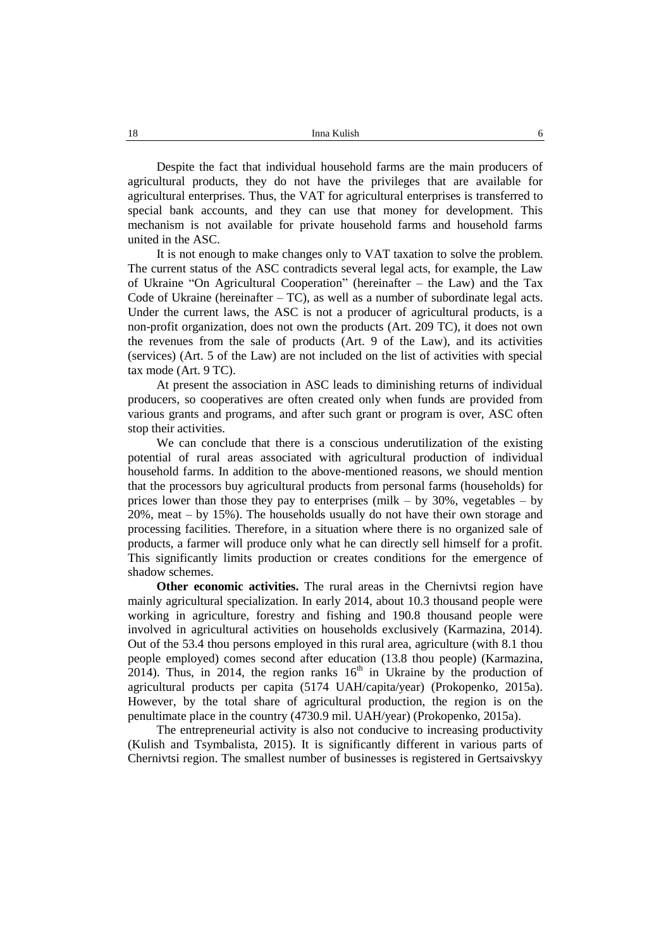Despite the fact that individual household farms are the main producers of agricultural products, they do not have the privileges that are available for agricultural enterprises. Thus, the VAT for agricultural enterprises is transferred to special bank accounts, and they can use that money for development. This mechanism is not available for private household farms and household farms united in the ASC.

It is not enough to make changes only to VAT taxation to solve the problem. The current status of the ASC contradicts several legal acts, for example, the Law of Ukraine "On Agricultural Cooperation" (hereinafter – the Law) and the Tax Code of Ukraine (hereinafter  $-TC$ ), as well as a number of subordinate legal acts. Under the current laws, the ASC is not a producer of agricultural products, is a non-profit organization, does not own the products (Art. 209 TC), it does not own the revenues from the sale of products (Art. 9 of the Law), and its activities (services) (Art. 5 of the Law) are not included on the list of activities with special tax mode (Art. 9 TC).

At present the association in ASC leads to diminishing returns of individual producers, so cooperatives are often created only when funds are provided from various grants and programs, and after such grant or program is over, ASC often stop their activities.

We can conclude that there is a conscious underutilization of the existing potential of rural areas associated with agricultural production of individual household farms. In addition to the above-mentioned reasons, we should mention that the processors buy agricultural products from personal farms (households) for prices lower than those they pay to enterprises (milk – by 30%, vegetables – by 20%, meat – by 15%). The households usually do not have their own storage and processing facilities. Therefore, in a situation where there is no organized sale of products, a farmer will produce only what he can directly sell himself for a profit. This significantly limits production or creates conditions for the emergence of shadow schemes.

**Other economic activities.** The rural areas in the Chernivtsi region have mainly agricultural specialization. In early 2014, about 10.3 thousand people were working in agriculture, forestry and fishing and 190.8 thousand people were involved in agricultural activities on households exclusively (Karmazina, 2014). Out of the 53.4 thou persons employed in this rural area, agriculture (with 8.1 thou people employed) comes second after education (13.8 thou people) (Karmazina, 2014). Thus, in 2014, the region ranks  $16<sup>th</sup>$  in Ukraine by the production of agricultural products per capita (5174 UAH/capita/year) (Prokopenko, 2015a). However, by the total share of agricultural production, the region is on the penultimate place in the country (4730.9 mil. UAH/year) (Prokopenko, 2015a).

The entrepreneurial activity is also not conducive to increasing productivity (Kulish and Tsymbalista, 2015). It is significantly different in various parts of Chernivtsi region. The smallest number of businesses is registered in Gertsaivskyy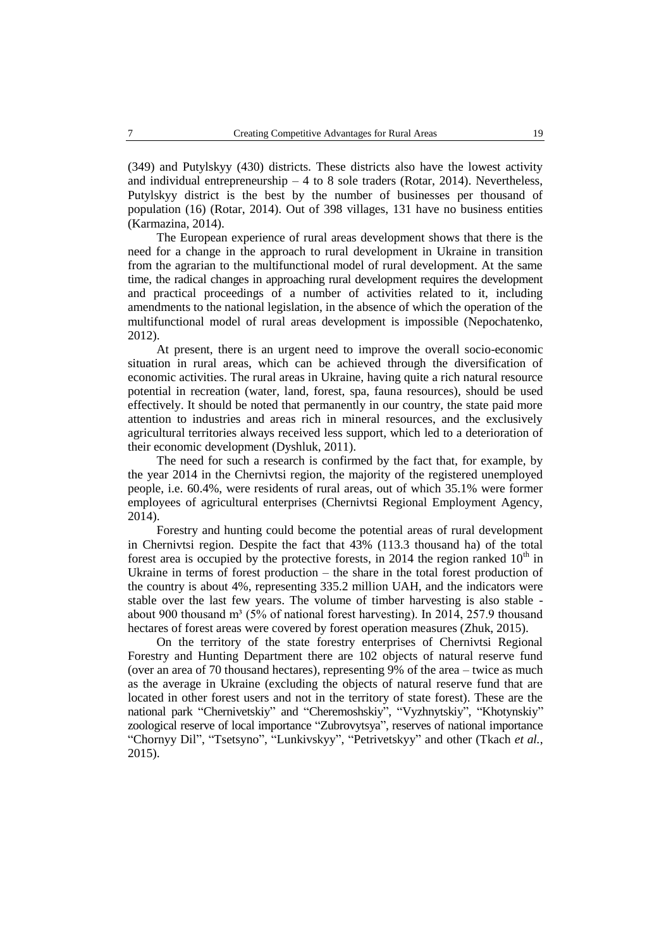(349) and Putylskyy (430) districts. These districts also have the lowest activity and individual entrepreneurship  $-4$  to 8 sole traders (Rotar, 2014). Nevertheless, Putylskyy district is the best by the number of businesses per thousand of population (16) (Rotar, 2014). Out of 398 villages, 131 have no business entities (Karmazina, 2014).

The European experience of rural areas development shows that there is the need for a change in the approach to rural development in Ukraine in transition from the agrarian to the multifunctional model of rural development. At the same time, the radical changes in approaching rural development requires the development and practical proceedings of a number of activities related to it, including amendments to the national legislation, in the absence of which the operation of the multifunctional model of rural areas development is impossible (Nepochatenko, 2012).

At present, there is an urgent need to improve the overall socio-economic situation in rural areas, which can be achieved through the diversification of economic activities. The rural areas in Ukraine, having quite a rich natural resource potential in recreation (water, land, forest, spa, fauna resources), should be used effectively. It should be noted that permanently in our country, the state paid more attention to industries and areas rich in mineral resources, and the exclusively agricultural territories always received less support, which led to a deterioration of their economic development (Dyshluk, 2011).

The need for such a research is confirmed by the fact that, for example, by the year 2014 in the Chernivtsi region, the majority of the registered unemployed people, i.e. 60.4%, were residents of rural areas, out of which 35.1% were former employees of agricultural enterprises (Chernivtsi Regional Employment Agency, 2014).

Forestry and hunting could become the potential areas of rural development in Chernivtsi region. Despite the fact that 43% (113.3 thousand ha) of the total forest area is occupied by the protective forests, in 2014 the region ranked  $10<sup>th</sup>$  in Ukraine in terms of forest production – the share in the total forest production of the country is about 4%, representing 335.2 million UAH, and the indicators were stable over the last few years. The volume of timber harvesting is also stable about 900 thousand  $m<sup>3</sup>$  (5% of national forest harvesting). In 2014, 257.9 thousand hectares of forest areas were covered by forest operation measures (Zhuk, 2015).

On the territory of the state forestry enterprises of Chernivtsi Regional Forestry and Hunting Department there are 102 objects of natural reserve fund (over an area of 70 thousand hectares), representing 9% of the area – twice as much as the average in Ukraine (excluding the objects of natural reserve fund that are located in other forest users and not in the territory of state forest). These are the national park "Chernivetskiy" and "Cheremoshskiy", "Vyzhnytskiy", "Khotynskiy" zoological reserve of local importance "Zubrovytsya", reserves of national importance "Chornyy Dil", "Tsetsyno", "Lunkivskyy", "Petrivetskyy" and other (Tkach *et al.*, 2015).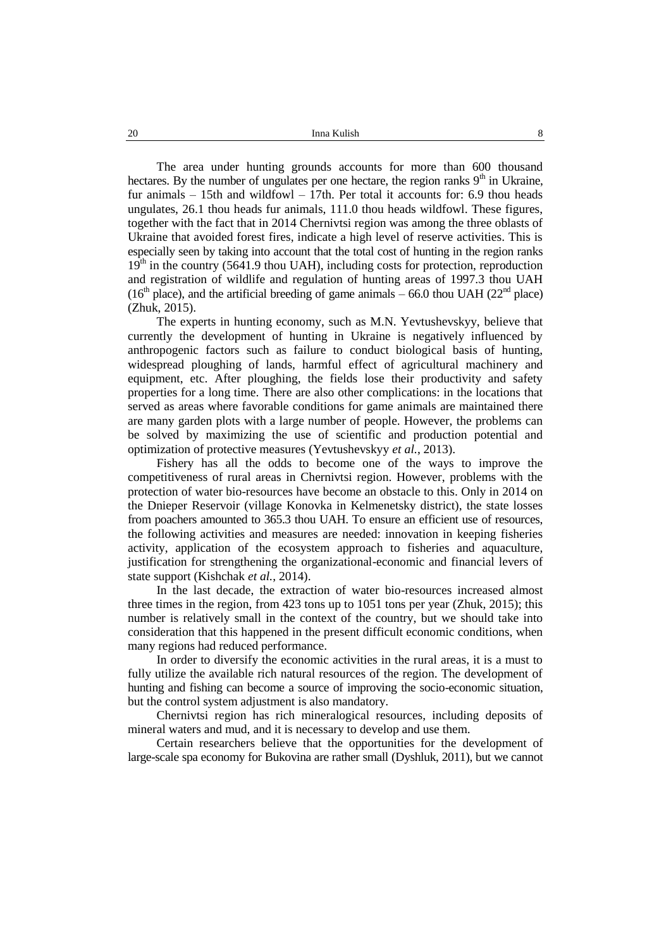The area under hunting grounds accounts for more than 600 thousand hectares. By the number of ungulates per one hectare, the region ranks  $9<sup>th</sup>$  in Ukraine, fur animals  $-15$ th and wildfowl  $-17$ th. Per total it accounts for: 6.9 thou heads ungulates, 26.1 thou heads fur animals, 111.0 thou heads wildfowl. These figures, together with the fact that in 2014 Chernivtsi region was among the three oblasts of Ukraine that avoided forest fires, indicate a high level of reserve activities. This is especially seen by taking into account that the total cost of hunting in the region ranks  $19<sup>th</sup>$  in the country (5641.9 thou UAH), including costs for protection, reproduction and registration of wildlife and regulation of hunting areas of 1997.3 thou UAH  $(16<sup>th</sup>$  place), and the artificial breeding of game animals – 66.0 thou UAH (22<sup>nd</sup> place) (Zhuk, 2015).

The experts in hunting economy, such as M.N. Yevtushevskyy, believe that currently the development of hunting in Ukraine is negatively influenced by anthropogenic factors such as failure to conduct biological basis of hunting, widespread ploughing of lands, harmful effect of agricultural machinery and equipment, etc. After ploughing, the fields lose their productivity and safety properties for a long time. There are also other complications: in the locations that served as areas where favorable conditions for game animals are maintained there are many garden plots with a large number of people. However, the problems can be solved by maximizing the use of scientific and production potential and optimization of protective measures (Yevtushevskyy *et al.*, 2013).

Fishery has all the odds to become one of the ways to improve the competitiveness of rural areas in Chernivtsi region. However, problems with the protection of water bio-resources have become an obstacle to this. Only in 2014 on the Dnieper Reservoir (village Konovka in Kelmenetsky district), the state losses from poachers amounted to 365.3 thou UAH. To ensure an efficient use of resources, the following activities and measures are needed: innovation in keeping fisheries activity, application of the ecosystem approach to fisheries and aquaculture, justification for strengthening the organizational-economic and financial levers of state support (Kishchak *et al.*, 2014).

In the last decade, the extraction of water bio-resources increased almost three times in the region, from 423 tons up to 1051 tons per year (Zhuk, 2015); this number is relatively small in the context of the country, but we should take into consideration that this happened in the present difficult economic conditions, when many regions had reduced performance.

In order to diversify the economic activities in the rural areas, it is a must to fully utilize the available rich natural resources of the region. The development of hunting and fishing can become a source of improving the socio-economic situation, but the control system adjustment is also mandatory.

Chernivtsi region has rich mineralogical resources, including deposits of mineral waters and mud, and it is necessary to develop and use them.

Certain researchers believe that the opportunities for the development of large-scale spa economy for Bukovina are rather small (Dyshluk, 2011), but we cannot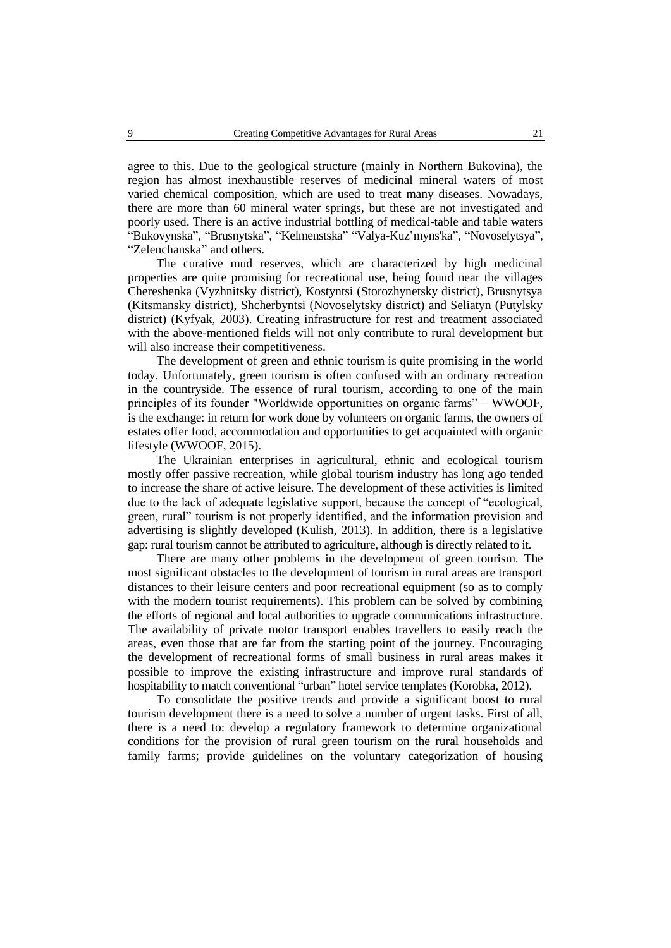agree to this. Due to the geological structure (mainly in Northern Bukovina), the region has almost inexhaustible reserves of medicinal mineral waters of most varied chemical composition, which are used to treat many diseases. Nowadays, there are more than 60 mineral water springs, but these are not investigated and poorly used. There is an active industrial bottling of medical-table and table waters "Bukovynska", "Brusnytska", "Kelmenstska" "Valya-Kuz'myns'ka", "Novoselytsya", "Zelenchanska" and others.

The curative mud reserves, which are characterized by high medicinal properties are quite promising for recreational use, being found near the villages Chereshenka (Vyzhnitsky district), Kostyntsi (Storozhynetsky district), Brusnytsya (Kitsmansky district), Shcherbyntsi (Novoselytsky district) and Seliatyn (Putylsky district) (Kyfyak, 2003). Creating infrastructure for rest and treatment associated with the above-mentioned fields will not only contribute to rural development but will also increase their competitiveness.

The development of green and ethnic tourism is quite promising in the world today. Unfortunately, green tourism is often confused with an ordinary recreation in the countryside. The essence of rural tourism, according to one of the main principles of its founder "Worldwide opportunities on organic farms" – WWOOF, is the exchange: in return for work done by volunteers on organic farms, the owners of estates offer food, accommodation and opportunities to get acquainted with organic lifestyle (WWOOF, 2015).

The Ukrainian enterprises in agricultural, ethnic and ecological tourism mostly offer passive recreation, while global tourism industry has long ago tended to increase the share of active leisure. The development of these activities is limited due to the lack of adequate legislative support, because the concept of "ecological, green, rural" tourism is not properly identified, and the information provision and advertising is slightly developed (Kulish, 2013). In addition, there is a legislative gap: rural tourism cannot be attributed to agriculture, although is directly related to it.

There are many other problems in the development of green tourism. The most significant obstacles to the development of tourism in rural areas are transport distances to their leisure centers and poor recreational equipment (so as to comply with the modern tourist requirements). This problem can be solved by combining the efforts of regional and local authorities to upgrade communications infrastructure. The availability of private motor transport enables travellers to easily reach the areas, even those that are far from the starting point of the journey. Encouraging the development of recreational forms of small business in rural areas makes it possible to improve the existing infrastructure and improve rural standards of hospitability to match conventional "urban" hotel service templates (Korobka, 2012).

To consolidate the positive trends and provide a significant boost to rural tourism development there is a need to solve a number of urgent tasks. First of all, there is a need to: develop a regulatory framework to determine organizational conditions for the provision of rural green tourism on the rural households and family farms; provide guidelines on the voluntary categorization of housing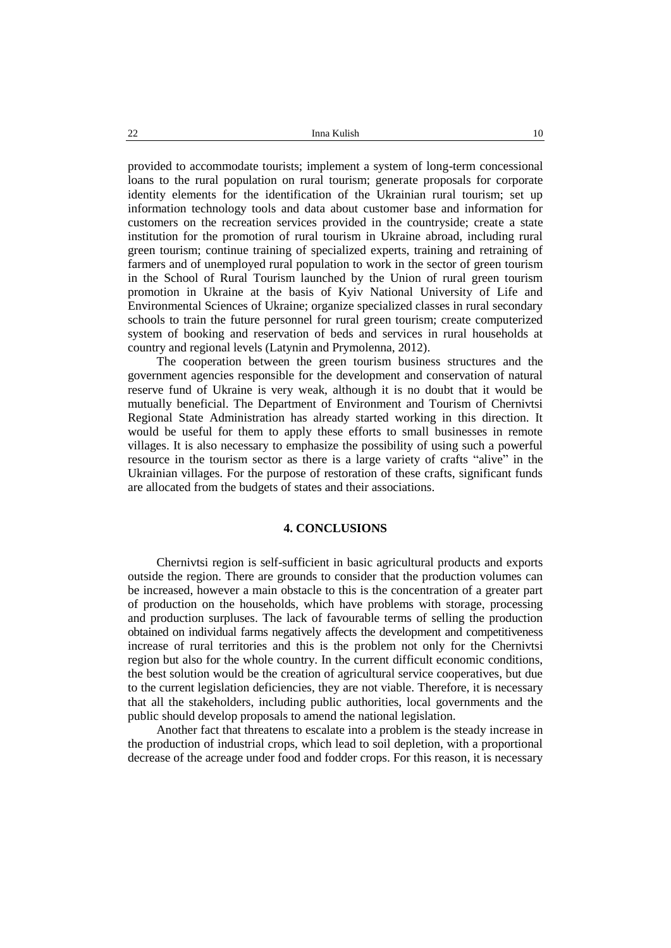provided to accommodate tourists; implement a system of long-term concessional loans to the rural population on rural tourism; generate proposals for corporate identity elements for the identification of the Ukrainian rural tourism; set up information technology tools and data about customer base and information for customers on the recreation services provided in the countryside; create a state institution for the promotion of rural tourism in Ukraine abroad, including rural green tourism; continue training of specialized experts, training and retraining of farmers and of unemployed rural population to work in the sector of green tourism in the School of Rural Tourism launched by the Union of rural green tourism promotion in Ukraine at the basis of Kyiv National University of Life and Environmental Sciences of Ukraine; organize specialized classes in rural secondary schools to train the future personnel for rural green tourism; create computerized system of booking and reservation of beds and services in rural households at country and regional levels (Latynin and Prymolenna, 2012).

The cooperation between the green tourism business structures and the government agencies responsible for the development and conservation of natural reserve fund of Ukraine is very weak, although it is no doubt that it would be mutually beneficial. The Department of Environment and Tourism of Chernivtsi Regional State Administration has already started working in this direction. It would be useful for them to apply these efforts to small businesses in remote villages. It is also necessary to emphasize the possibility of using such a powerful resource in the tourism sector as there is a large variety of crafts "alive" in the Ukrainian villages. For the purpose of restoration of these crafts, significant funds are allocated from the budgets of states and their associations.

#### **4. CONCLUSIONS**

Chernivtsi region is self-sufficient in basic agricultural products and exports outside the region. There are grounds to consider that the production volumes can be increased, however a main obstacle to this is the concentration of a greater part of production on the households, which have problems with storage, processing and production surpluses. The lack of favourable terms of selling the production obtained on individual farms negatively affects the development and competitiveness increase of rural territories and this is the problem not only for the Chernivtsi region but also for the whole country. In the current difficult economic conditions, the best solution would be the creation of agricultural service cooperatives, but due to the current legislation deficiencies, they are not viable. Therefore, it is necessary that all the stakeholders, including public authorities, local governments and the public should develop proposals to amend the national legislation.

Another fact that threatens to escalate into a problem is the steady increase in the production of industrial crops, which lead to soil depletion, with a proportional decrease of the acreage under food and fodder crops. For this reason, it is necessary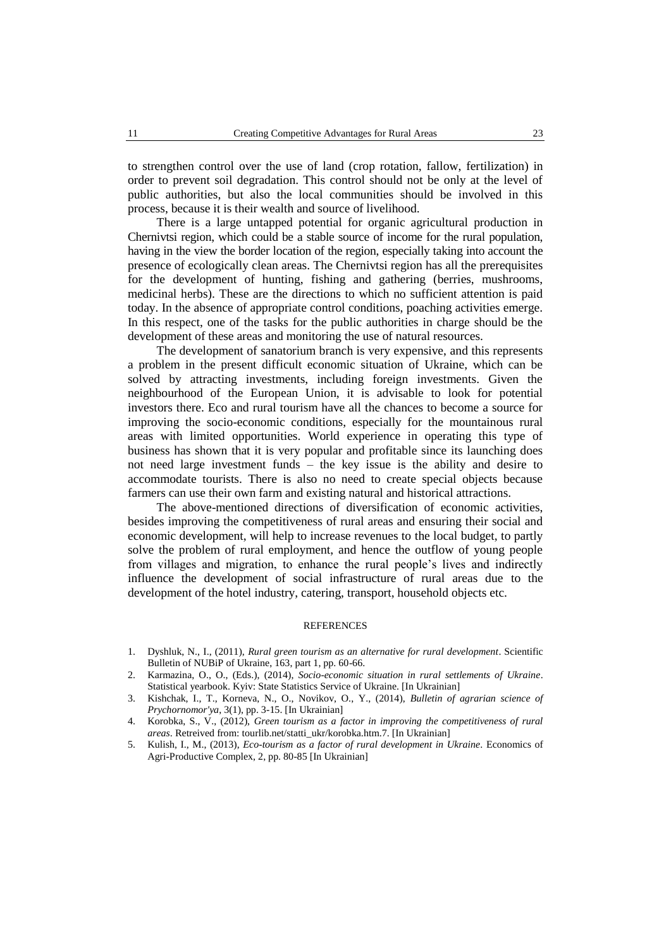to strengthen control over the use of land (crop rotation, fallow, fertilization) in order to prevent soil degradation. This control should not be only at the level of public authorities, but also the local communities should be involved in this process, because it is their wealth and source of livelihood.

There is a large untapped potential for organic agricultural production in Chernivtsi region, which could be a stable source of income for the rural population, having in the view the border location of the region, especially taking into account the presence of ecologically clean areas. The Chernivtsi region has all the prerequisites for the development of hunting, fishing and gathering (berries, mushrooms, medicinal herbs). These are the directions to which no sufficient attention is paid today. In the absence of appropriate control conditions, poaching activities emerge. In this respect, one of the tasks for the public authorities in charge should be the development of these areas and monitoring the use of natural resources.

The development of sanatorium branch is very expensive, and this represents a problem in the present difficult economic situation of Ukraine, which can be solved by attracting investments, including foreign investments. Given the neighbourhood of the European Union, it is advisable to look for potential investors there. Eco and rural tourism have all the chances to become a source for improving the socio-economic conditions, especially for the mountainous rural areas with limited opportunities. World experience in operating this type of business has shown that it is very popular and profitable since its launching does not need large investment funds – the key issue is the ability and desire to accommodate tourists. There is also no need to create special objects because farmers can use their own farm and existing natural and historical attractions.

The above-mentioned directions of diversification of economic activities, besides improving the competitiveness of rural areas and ensuring their social and economic development, will help to increase revenues to the local budget, to partly solve the problem of rural employment, and hence the outflow of young people from villages and migration, to enhance the rural people's lives and indirectly influence the development of social infrastructure of rural areas due to the development of the hotel industry, catering, transport, household objects etc.

#### **REFERENCES**

- 1. Dyshluk, N., I., (2011), *Rural green tourism as an alternative for rural development*. Scientific Bulletin of NUBiP of Ukraine, 163, part 1, pp. 60-66.
- 2. Karmazina, O., O., (Eds.), (2014), *Socio-economic situation in rural settlements of Ukraine*. Statistical yearbook. Kyiv: State Statistics Service of Ukraine. [In Ukrainian]
- 3. Kishchak, I., T., Korneva, N., O., Novikov, O., Y., (2014), *Bulletin of agrarian science of Prychornomor'ya*, 3(1), pp. 3-15. [In Ukrainian]
- 4. Korobka, S., V., (2012), *Green tourism as a factor in improving the competitiveness of rural areas*. Retreived from: tourlib.net/statti\_ukr/korobka.htm.7. [In Ukrainian]
- 5. Kulish, I., M., (2013), *Eco-tourism as a factor of rural development in Ukraine*. Economics of Agri-Productive Complex, 2, pp. 80-85 [In Ukrainian]